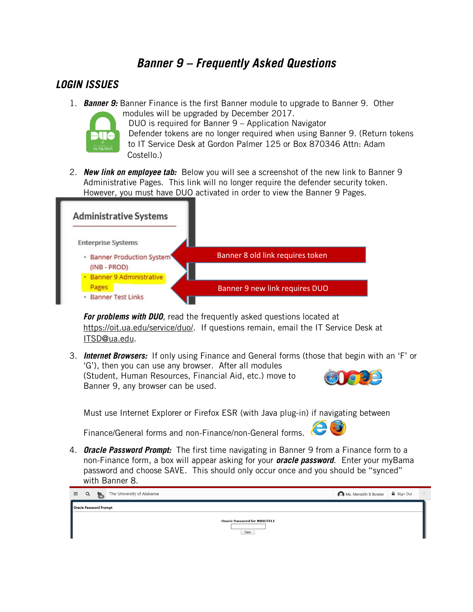# **Banner 9 – Frequently Asked Questions**

### **LOGIN ISSUES**

1. **Banner 9:** Banner Finance is the first Banner module to upgrade to Banner 9. Other modules will be upgraded by December 2017.



DUO is required for Banner 9 – Application Navigator Defender tokens are no longer required when using Banner 9. (Return tokens to IT Service Desk at Gordon Palmer 125 or Box 870346 Attn: Adam Costello.)

2. **New link on employee tab:** Below you will see a screenshot of the new link to Banner 9 Administrative Pages. This link will no longer require the defender security token. However, you must have DUO activated in order to view the Banner 9 Pages.



**For problems with DUO**, read the frequently asked questions located at [https://oit.ua.edu/service/duo/.](https://oit.ua.edu/service/duo/) If questions remain, email the IT Service Desk at [ITSD@ua.edu.](mailto:ITSD@ua.edu)

3. **Internet Browsers:** If only using Finance and General forms (those that begin with an 'F' or 'G'), then you can use any browser. After all modules (Student, Human Resources, Financial Aid, etc.) move to Banner 9, any browser can be used.

Must use Internet Explorer or Firefox ESR (with Java plug-in) if navigating between

Finance/General forms and non-Finance/non-General forms.

4. **Oracle Password Prompt:** The first time navigating in Banner 9 from a Finance form to a non-Finance form, a box will appear asking for your **oracle password**. Enter your myBama password and choose SAVE. This should only occur once and you should be "synced" with Banner 8.

|                        |      |  | $\equiv$ Q $\approx$ The University of Alabama | Ms. Meredith B Boteler   Sign Out |  |  |  |
|------------------------|------|--|------------------------------------------------|-----------------------------------|--|--|--|
| Oracle Password Prompt |      |  |                                                |                                   |  |  |  |
|                        |      |  | <b>Oracle Password for MBBOTELE</b>            |                                   |  |  |  |
|                        | Save |  |                                                |                                   |  |  |  |
|                        |      |  |                                                |                                   |  |  |  |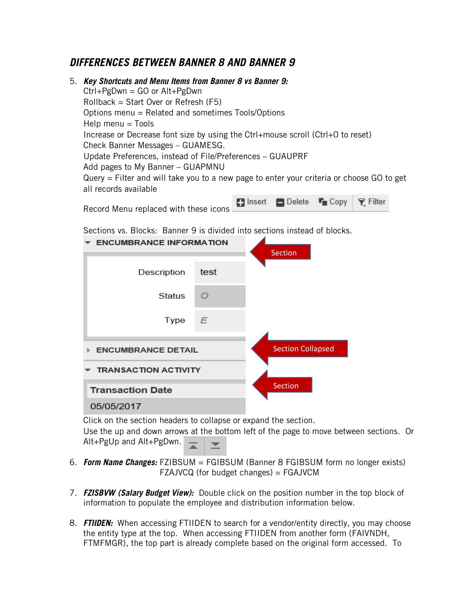## **DIFFERENCES BETWEEN BANNER 8 AND BANNER 9**

5. **Key Shortcuts and Menu Items from Banner 8 vs Banner 9:** Ctrl+PgDwn = GO or Alt+PgDwn Rollback = Start Over or Refresh (F5) Options menu = Related and sometimes Tools/Options  $Help$  menu  $=$  Tools Increase or Decrease font size by using the Ctrl+mouse scroll (Ctrl+0 to reset) Check Banner Messages – GUAMESG. Update Preferences, instead of File/Preferences – GUAUPRF Add pages to My Banner – GUAPMNU Query = Filter and will take you to a new page to enter your criteria or choose GO to get all records available

| Record Menu replaced with these icons | <b>Explorer Delete For Copy   ♀ Filter</b> |  |
|---------------------------------------|--------------------------------------------|--|
|                                       |                                            |  |

Sections vs. Blocks:Banner 9 is divided into sections instead of blocks.

| <b>ENCUMBRANCE INFORMATION</b> | <b>Section</b>           |  |
|--------------------------------|--------------------------|--|
|                                |                          |  |
| Description                    | test                     |  |
| <b>Status</b>                  | ◯                        |  |
| Type                           | E                        |  |
| <b>ENCUMBRANCE DETAIL</b>      | <b>Section Collapsed</b> |  |
| <b>TRANSACTION ACTIVITY</b>    |                          |  |
| <b>Transaction Date</b>        | <b>Section</b>           |  |
| 05/05/2017                     |                          |  |

Click on the section headers to collapse or expand the section. Use the up and down arrows at the bottom left of the page to move between sections. Or Alt+PgUp and Alt+PgDwn.

- 6. **Form Name Changes:** FZIBSUM = FGIBSUM (Banner 8 FGIBSUM form no longer exists) FZAJVCQ (for budget changes) = FGAJVCM
- 7. **FZISBVW (Salary Budget View):** Double click on the position number in the top block of information to populate the employee and distribution information below.
- 8. **FTIIDEN:** When accessing FTIIDEN to search for a vendor/entity directly, you may choose the entity type at the top. When accessing FTIIDEN from another form (FAIVNDH, FTMFMGR), the top part is already complete based on the original form accessed. To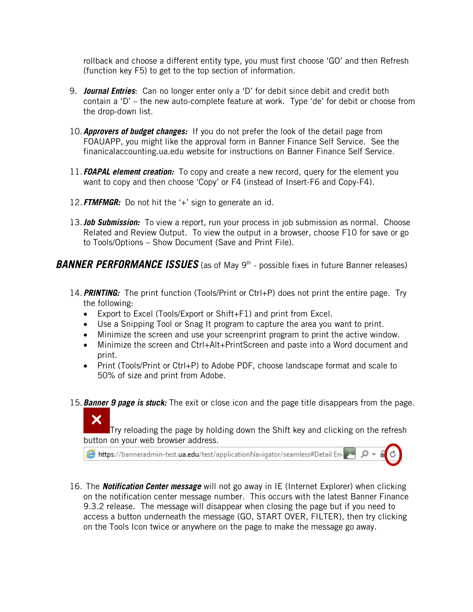rollback and choose a different entity type, you must first choose 'GO' and then Refresh (function key F5) to get to the top section of information.

- 9. **Journal Entries**: Can no longer enter only a 'D' for debit since debit and credit both contain a 'D' – the new auto-complete feature at work. Type 'de' for debit or choose from the drop-down list.
- 10.**Approvers of budget changes:** If you do not prefer the look of the detail page from FOAUAPP, you might like the approval form in Banner Finance Self Service. See the finanicalaccounting.ua.edu website for instructions on Banner Finance Self Service.
- 11.**FOAPAL element creation:** To copy and create a new record, query for the element you want to copy and then choose 'Copy' or F4 (instead of Insert-F6 and Copy-F4).
- 12.**FTMFMGR:** Do not hit the '+' sign to generate an id.

X.

13.**Job Submission:** To view a report, run your process in job submission as normal. Choose Related and Review Output. To view the output in a browser, choose F10 for save or go to Tools/Options – Show Document (Save and Print File).

**BANNER PERFORMANCE ISSUES** (as of May 9<sup>th</sup> - possible fixes in future Banner releases)

- 14.**PRINTING:** The print function (Tools/Print or Ctrl+P) does not print the entire page. Try the following:
	- Export to Excel (Tools/Export or Shift+F1) and print from Excel.
	- Use a Snipping Tool or Snag It program to capture the area you want to print.
	- Minimize the screen and use your screenprint program to print the active window.
	- Minimize the screen and Ctrl+Alt+PrintScreen and paste into a Word document and print.
	- Print (Tools/Print or Ctrl+P) to Adobe PDF, choose landscape format and scale to 50% of size and print from Adobe.
- 15.**Banner 9 page is stuck:** The exit or close icon and the page title disappears from the page.

Try reloading the page by holding down the Shift key and clicking on the refresh button on your web browser address.

https://banneradmin-test.ua.edu/test/applicationNavigator/seamless#Detail End

16. The **Notification Center message** will not go away in IE (Internet Explorer) when clicking on the notification center message number. This occurs with the latest Banner Finance 9.3.2 release. The message will disappear when closing the page but if you need to access a button underneath the message (GO, START OVER, FILTER), then try clicking on the Tools Icon twice or anywhere on the page to make the message go away.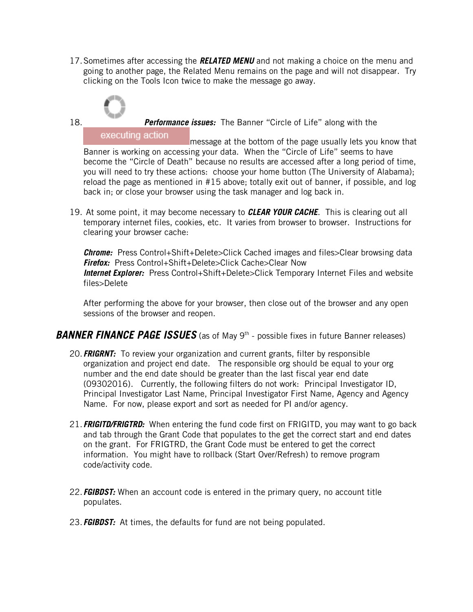17.Sometimes after accessing the **RELATED MENU** and not making a choice on the menu and going to another page, the Related Menu remains on the page and will not disappear. Try clicking on the Tools Icon twice to make the message go away.



18. **Performance issues:** The Banner "Circle of Life" along with the

executing action message at the bottom of the page usually lets you know that Banner is working on accessing your data. When the "Circle of Life" seems to have become the "Circle of Death" because no results are accessed after a long period of time, you will need to try these actions: choose your home button (The University of Alabama); reload the page as mentioned in #15 above; totally exit out of banner, if possible, and log back in; or close your browser using the task manager and log back in.

19. At some point, it may become necessary to **CLEAR YOUR CACHE**. This is clearing out all temporary internet files, cookies, etc. It varies from browser to browser. Instructions for clearing your browser cache:

**Chrome:** Press Control+Shift+Delete>Click Cached images and files>Clear browsing data **Firefox:** Press Control+Shift+Delete>Click Cache>Clear Now **Internet Explorer:** Press Control+Shift+Delete>Click Temporary Internet Files and website files>Delete

After performing the above for your browser, then close out of the browser and any open sessions of the browser and reopen.

#### **BANNER FINANCE PAGE ISSUES** (as of May 9<sup>th</sup> - possible fixes in future Banner releases)

- 20.**FRIGRNT:** To review your organization and current grants, filter by responsible organization and project end date. The responsible org should be equal to your org number and the end date should be greater than the last fiscal year end date (09302016). Currently, the following filters do not work: Principal Investigator ID, Principal Investigator Last Name, Principal Investigator First Name, Agency and Agency Name. For now, please export and sort as needed for PI and/or agency.
- 21.**FRIGITD/FRIGTRD:** When entering the fund code first on FRIGITD, you may want to go back and tab through the Grant Code that populates to the get the correct start and end dates on the grant. For FRIGTRD, the Grant Code must be entered to get the correct information. You might have to rollback (Start Over/Refresh) to remove program code/activity code.
- 22.**FGIBDST:** When an account code is entered in the primary query, no account title populates.
- 23.**FGIBDST:** At times, the defaults for fund are not being populated.